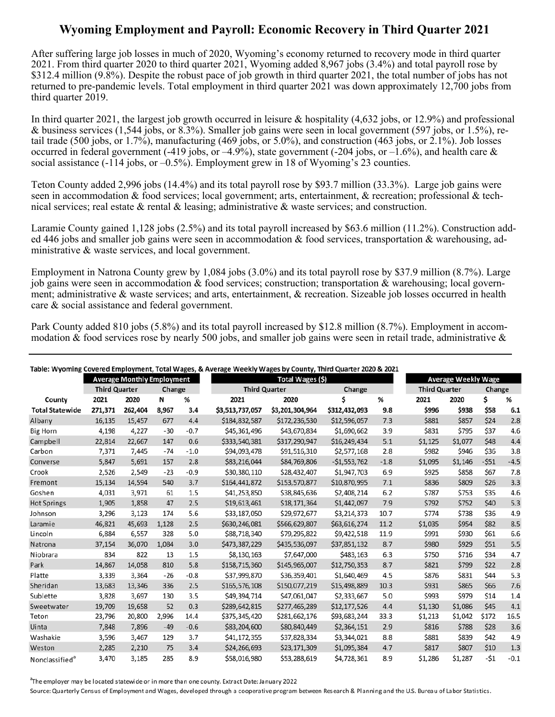## **Wyoming Employment and Payroll: Economic Recovery in Third Quarter 2021**

After suffering large job losses in much of 2020, Wyoming's economy returned to recovery mode in third quarter 2021. From third quarter 2020 to third quarter 2021, Wyoming added 8,967 jobs (3.4%) and total payroll rose by \$312.4 million (9.8%). Despite the robust pace of job growth in third quarter 2021, the total number of jobs has not returned to pre-pandemic levels. Total employment in third quarter 2021 was down approximately 12,700 jobs from third quarter 2019.

In third quarter 2021, the largest job growth occurred in leisure & hospitality (4,632 jobs, or 12.9%) and professional & business services (1,544 jobs, or 8.3%). Smaller job gains were seen in local government (597 jobs, or 1.5%), retail trade (500 jobs, or 1.7%), manufacturing (469 jobs, or 5.0%), and construction (463 jobs, or 2.1%). Job losses occurred in federal government (-419 jobs, or  $-4.9\%$ ), state government (-204 jobs, or  $-1.6\%$ ), and health care & social assistance  $(-114 \text{ jobs}, \text{or } -0.5\%)$ . Employment grew in 18 of Wyoming's 23 counties.

Teton County added 2,996 jobs (14.4%) and its total payroll rose by \$93.7 million (33.3%). Large job gains were seen in accommodation & food services; local government; arts, entertainment, & recreation; professional & technical services; real estate  $\&$  rental  $\&$  leasing; administrative  $\&$  waste services; and construction.

Laramie County gained 1,128 jobs (2.5%) and its total payroll increased by \$63.6 million (11.2%). Construction added 446 jobs and smaller job gains were seen in accommodation & food services, transportation & warehousing, administrative & waste services, and local government.

Employment in Natrona County grew by 1,084 jobs (3.0%) and its total payroll rose by \$37.9 million (8.7%). Large job gains were seen in accommodation & food services; construction; transportation & warehousing; local government; administrative & waste services; and arts, entertainment, & recreation. Sizeable job losses occurred in health care & social assistance and federal government.

Park County added 810 jobs (5.8%) and its total payroll increased by \$12.8 million (8.7%). Employment in accommodation  $\&$  food services rose by nearly 500 jobs, and smaller job gains were seen in retail trade, administrative  $\&$ 

| Table: Wyoming Covered Employment, Total Wages, & Average Weekly Wages by County, Third Quarter 2020 & 2021 |                                   |         |       |                      |                 |                  |               |                      |         |                            |        |        |  |
|-------------------------------------------------------------------------------------------------------------|-----------------------------------|---------|-------|----------------------|-----------------|------------------|---------------|----------------------|---------|----------------------------|--------|--------|--|
|                                                                                                             | <b>Average Monthly Employment</b> |         |       |                      |                 | Total Wages (\$) |               |                      |         | <b>Average Weekly Wage</b> |        |        |  |
| <b>Third Quarter</b>                                                                                        |                                   | Change  |       | <b>Third Quarter</b> |                 | Change           |               | <b>Third Quarter</b> |         | Change                     |        |        |  |
| County                                                                                                      | 2021                              | 2020    | N     | %                    | 2021            | 2020             | Ś             | %                    | 2021    | 2020                       | \$     | %      |  |
| <b>Total Statewide</b>                                                                                      | 271,371                           | 262,404 | 8,967 | 3.4                  | \$3,513,737,057 | \$3,201,304,964  | \$312,432,093 | 9.8                  | \$996   | \$938                      | \$58   | 6.1    |  |
| Albany                                                                                                      | 16,135                            | 15,457  | 677   | 4.4                  | \$184,832,587   | \$172,236,530    | \$12,596,057  | 7.3                  | \$881   | \$857                      | \$24   | 2.8    |  |
| <b>Big Horn</b>                                                                                             | 4,198                             | 4,227   | $-30$ | $-0.7$               | \$45,361,496    | \$43,670,834     | \$1,690,662   | 3.9                  | \$831   | \$795                      | \$37   | 4.6    |  |
| Campbell                                                                                                    | 22,814                            | 22,667  | 147   | 0.6                  | \$333,540,381   | \$317,290,947    | \$16,249,434  | 5.1                  | \$1,125 | \$1,077                    | \$48   | 4.4    |  |
| Carbon                                                                                                      | 7,371                             | 7,445   | $-74$ | $-1.0$               | \$94,093,478    | \$91,516,310     | \$2,577,168   | 2.8                  | \$982   | \$946                      | \$36   | 3.8    |  |
| Converse                                                                                                    | 5,847                             | 5,691   | 157   | 2.8                  | \$83,216,044    | \$84,769,806     | $-51,553,762$ | $-1.8$               | \$1,095 | \$1,146                    | $-551$ | $-4.5$ |  |
| Crook                                                                                                       | 2,526                             | 2,549   | $-23$ | $-0.9$               | \$30,380,110    | \$28,432,407     | \$1,947,703   | 6.9                  | \$925   | \$858                      | \$67   | 7.8    |  |
| Fremont                                                                                                     | 15,134                            | 14,594  | 540   | 3.7                  | \$164,441,872   | \$153,570,877    | \$10,870,995  | 7.1                  | \$836   | \$809                      | \$26   | 3.3    |  |
| Goshen                                                                                                      | 4,031                             | 3,971   | 61    | 1.5                  | \$41,253,850    | \$38,845,636     | \$2,408,214   | 6.2                  | \$787   | \$753                      | \$35   | 4.6    |  |
| <b>Hot Springs</b>                                                                                          | 1,905                             | 1,858   | 47    | 2.5                  | \$19,613,461    | \$18,171,364     | \$1,442,097   | 7.9                  | \$792   | \$752                      | \$40   | 5.3    |  |
| Johnson                                                                                                     | 3,296                             | 3,123   | 174   | 5.6                  | \$33,187,050    | \$29,972,677     | \$3,214,373   | 10.7                 | \$774   | \$738                      | \$36   | 4.9    |  |
| Laramie                                                                                                     | 46,821                            | 45,693  | 1,128 | 2.5                  | \$630,246,081   | \$566,629,807    | \$63,616,274  | 11.2                 | \$1,035 | \$954                      | \$82   | 8.5    |  |
| Lincoln                                                                                                     | 6,884                             | 6,557   | 328   | 5.0                  | \$88,718,340    | \$79,295,822     | \$9,422,518   | 11.9                 | \$991   | \$930                      | \$61   | 6.6    |  |
| Natrona                                                                                                     | 37,154                            | 36.070  | 1.084 | 3.0                  | \$473,387,229   | \$435,536,097    | \$37,851,132  | 8.7                  | \$980   | \$929                      | \$51   | 5.5    |  |
| Niobrara                                                                                                    | 834                               | 822     | 13    | 1.5                  | \$8,130,163     | \$7,647,000      | \$483,163     | 6.3                  | \$750   | \$716                      | \$34   | 4.7    |  |
| Park                                                                                                        | 14,867                            | 14,058  | 810   | 5.8                  | \$158,715,360   | \$145,965,007    | \$12,750,353  | 8.7                  | \$821   | \$799                      | \$22   | 2.8    |  |
| Platte                                                                                                      | 3,339                             | 3,364   | $-26$ | $-0.8$               | \$37,999,870    | \$36,359,401     | \$1,640,469   | 4.5                  | \$876   | \$831                      | \$44   | 5.3    |  |
| Sheridan                                                                                                    | 13,683                            | 13,346  | 336   | 2.5                  | \$165,576,108   | \$150,077,219    | \$15,498,889  | 10.3                 | \$931   | \$865                      | \$66   | 7.6    |  |
| Sublette                                                                                                    | 3,828                             | 3,697   | 130   | 3.5                  | \$49,394,714    | \$47,061,047     | \$2,333,667   | 5.0                  | \$993   | \$979                      | \$14   | 1.4    |  |
| Sweetwater                                                                                                  | 19,709                            | 19,658  | 52    | 0.3                  | \$289,642,815   | \$277,465,289    | \$12,177,526  | 4.4                  | \$1,130 | \$1,086                    | \$45   | 4.1    |  |
| Teton                                                                                                       | 23,796                            | 20,800  | 2,996 | 14.4                 | \$375,345,420   | \$281,662,176    | \$93,683,244  | 33.3                 | \$1,213 | \$1,042                    | \$172  | 16.5   |  |
| Uinta                                                                                                       | 7,848                             | 7,896   | $-49$ | $-0.6$               | \$83,204,600    | \$80,840,449     | \$2,364,151   | 2.9                  | \$816   | \$788                      | \$28   | 3.6    |  |
| Washakie                                                                                                    | 3,596                             | 3,467   | 129   | 3.7                  | \$41,172,355    | \$37,828,334     | \$3,344,021   | 8.8                  | \$881   | \$839                      | \$42   | 4.9    |  |
| Weston                                                                                                      | 2,285                             | 2,210   | 75    | 3.4                  | \$24,266,693    | \$23,171,309     | \$1,095,384   | 4.7                  | \$817   | \$807                      | \$10   | 1.3    |  |
| Nonclassified <sup>a</sup>                                                                                  | 3.470                             | 3,185   | 285   | 8.9                  | \$58,016,980    | \$53,288,619     | \$4,728,361   | 8.9                  | \$1,286 | \$1,287                    | $-51$  | $-0.1$ |  |

<sup>a</sup>The employer may be located statewide or in more than one county. Extract Date: January 2022

Source: Quarterly Census of Employment and Wages, developed through a cooperative program between Research & Planning and the U.S. Bureau of Labor Statistics.